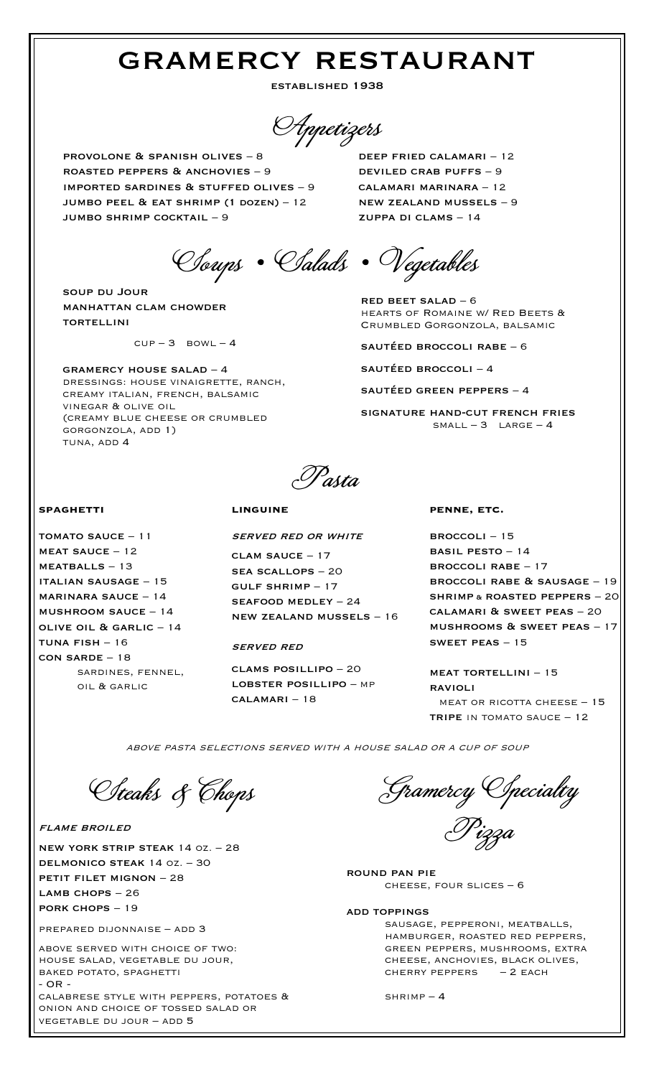# gramercy restaurant

established 1938

Appetizers

provolone & spanish olives – 8 roasted peppers & anchovies – 9 imported sardines & stuffed olives – 9 jumbo peel & eat shrimp (1 dozen) – 12 jumbo shrimp cocktail – 9

Soups • Salads • Vegetables

soup du Jour manhattan clam chowder **TORTELLINI** 

 $CUP-3$  BOWL - 4

gramercy house salad – 4 dressings: house vinaigrette, ranch, creamy italian, french, balsamic vinegar & olive oil (creamy blue cheese or crumbled gorgonzola, add 1) tuna, add 4

deep fried calamari – 12 deviled crab puffs – 9 calamari marinara – 12 new zealand mussels – 9 zuppa di clams – 14

red beet salad – 6 hearts of Romaine w/ Red Beets & Crumbled Gorgonzola, balsamic

sautéed broccoli rabe – 6

sautéed broccoli – 4

sautéed green peppers – 4

signature hand-cut french fries  $SMALL - 3$   $LARGE - 4$ 

Pasta

## **spaghetti**

TOMATO SAUCE  $-11$  $MEAT$  SAUCE – 12 meatballs – 13 italian sausage – 15 marinara sauce – 14 mushroom sauce – 14 olive oil & garlic – 14  $TUNA$   $FISH - 16$ con sarde – 18 sardines, fennel, oil & garlic

### **linguine**

served red or white

clam sauce – 17 sea scallops – 20 gulf shrimp – 17 seafood medley – 24 new zealand mussels – 16

#### served red

clams posillipo – 20 lobster posillipo – mp calamari – 18

#### **penne, etc.**

broccoli – 15 basil pesto – 14 broccoli rabe – 17 broccoli rabe & sausage – 19 shrimp & roasted peppers – 20 calamari & sweet peas – 20 mushrooms & sweet peas – 17 sweet peas – 15

meat tortellini – 15 ravioli meat or ricotta cheese – 15 TRIPE IN TOMATO SAUCE - 12

above pasta selections served with a house salad or a cup of soup

Steaks & Chops

flame broiled

new york strip steak 14 oz. – 28 delmonico steak 14 oz. – 30 petit filet mignon – 28 LAMB CHOPS - 26 pork chops – 19

prepared dijonnaise – add 3

above served with choice of two: house salad, vegetable du jour, baked potato, spaghetti - OR -

calabrese style with peppers, potatoes & onion and choice of tossed salad or vegetable du jour – add 5

Gramercy Specialty Pizza

round pan pie cheese, four slices – 6

add toppings sausage, pepperoni, meatballs, hamburger, roasted red peppers, green peppers, mushrooms, extra cheese, anchovies, black olives, CHERRY PEPPERS  $-2$  EACH

 $SHRIMP - 4$